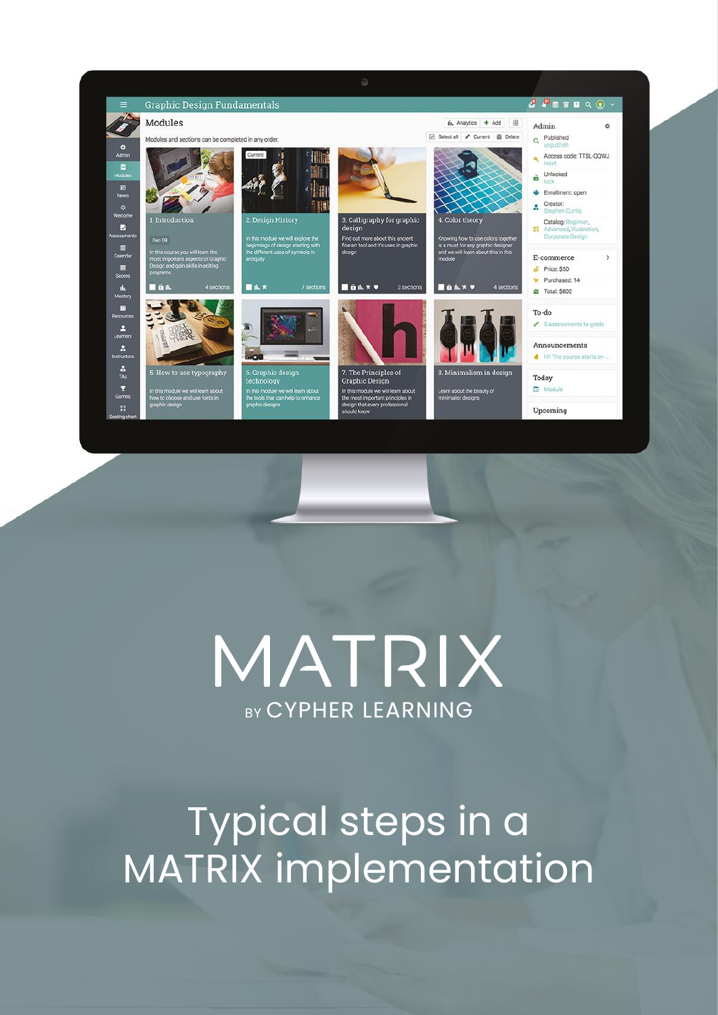

# MATRIX **BY CYPHER LEARNING**

# Typical steps in a MATRIX implementation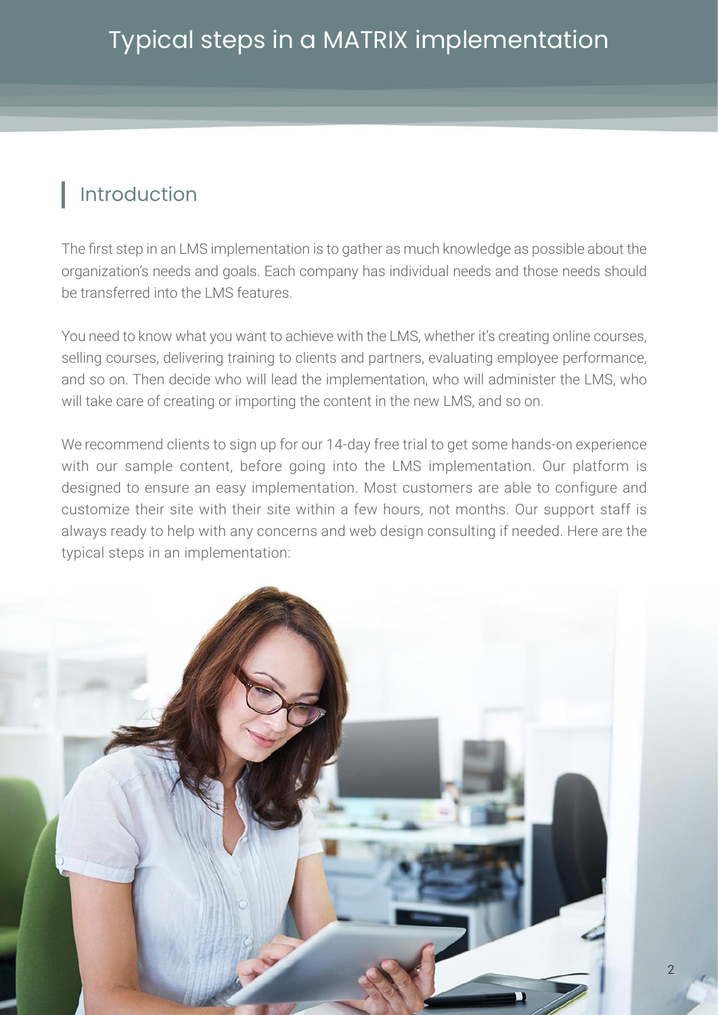# Introduction

The first step in an LMS implementation is to gather as much knowledge as possible about the organization's needs and goals. Each company has individual needs and those needs should be transferred into the LMS features.

You need to know what you want to achieve with the LMS, whether it's creating online courses, selling courses, delivering training to clients and partners, evaluating employee performance, and so on. Then decide who will lead the implementation, who will administer the LMS, who will take care of creating or importing the content in the new LMS, and so on.

We recommend clients to sign up for our 14-day free trial to get some hands-on experience with our sample content, before going into the LMS implementation. Our platform is designed to ensure an easy implementation. Most customers are able to configure and customize their site with their site within a few hours, not months. Our support staff is always ready to help with any concerns and web design consulting if needed. Here are the typical steps in an implementation:

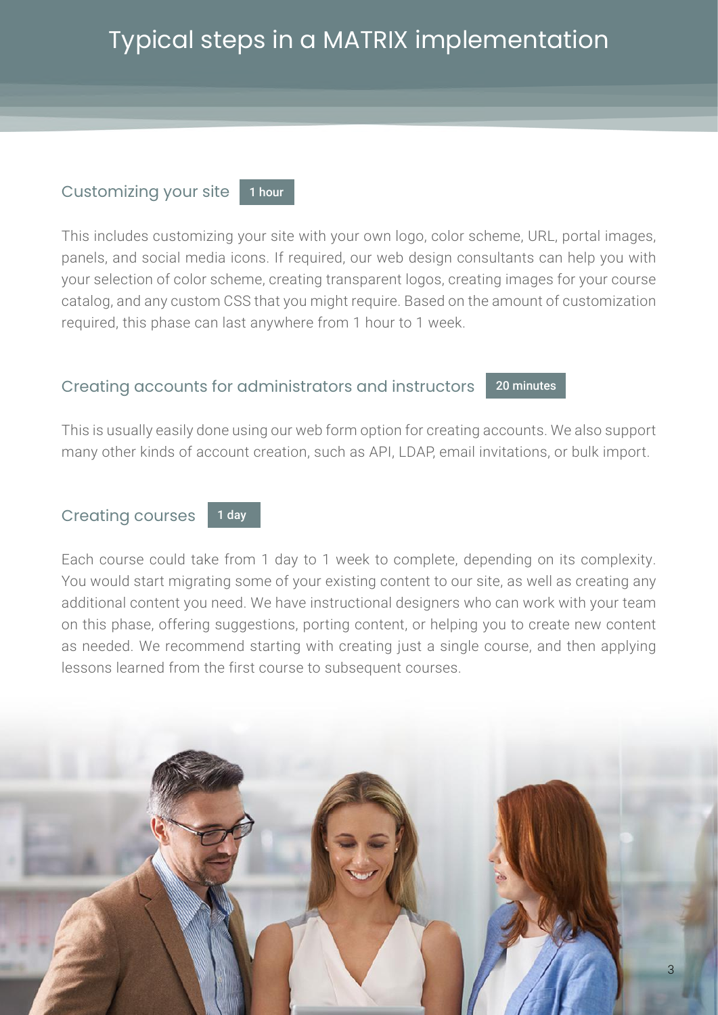# Typical steps in a MATRIX implementation

#### Customizing your site 1 hour

This includes customizing your site with your own logo, color scheme, URL, portal images, panels, and social media icons. If required, our web design consultants can help you with your selection of color scheme, creating transparent logos, creating images for your course catalog, and any custom CSS that you might require. Based on the amount of customization required, this phase can last anywhere from 1 hour to 1 week.

#### Creating accounts for administrators and instructors 20 minutes

This is usually easily done using our web form option for creating accounts. We also support many other kinds of account creation, such as API, LDAP, email invitations, or bulk import.

#### Creating courses 1 day

Each course could take from 1 day to 1 week to complete, depending on its complexity. You would start migrating some of your existing content to our site, as well as creating any additional content you need. We have instructional designers who can work with your team on this phase, offering suggestions, porting content, or helping you to create new content as needed. We recommend starting with creating just a single course, and then applying lessons learned from the first course to subsequent courses.

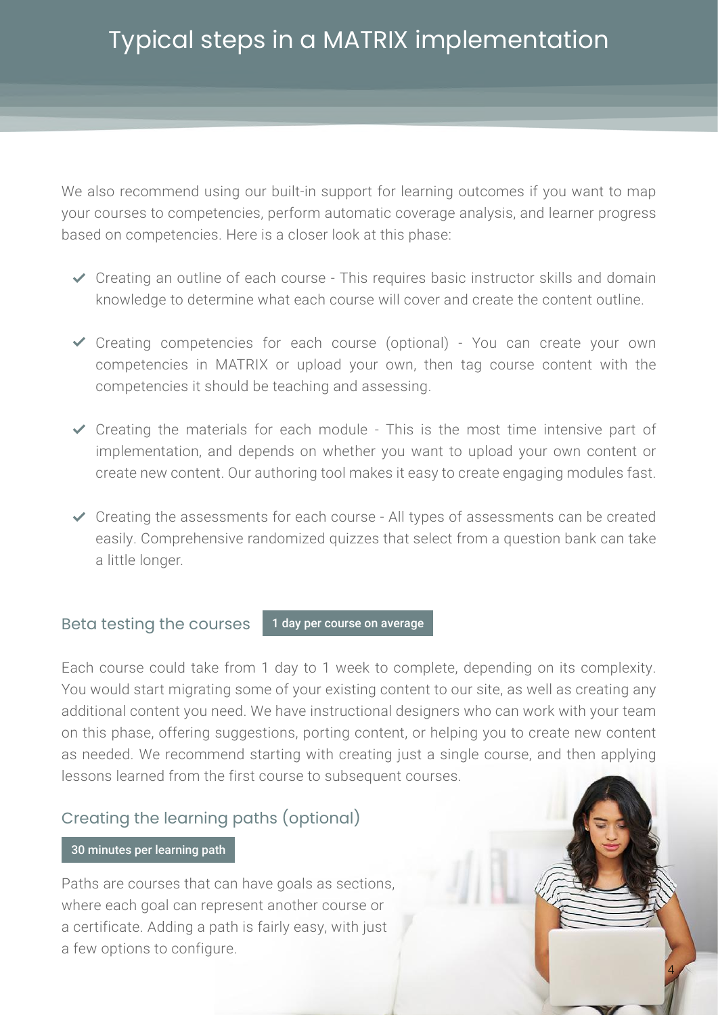We also recommend using our built-in support for learning outcomes if you want to map your courses to competencies, perform automatic coverage analysis, and learner progress based on competencies. Here is a closer look at this phase:

- Creating an outline of each course This requires basic instructor skills and domain knowledge to determine what each course will cover and create the content outline.
- Creating competencies for each course (optional) You can create your own competencies in MATRIX or upload your own, then tag course content with the competencies it should be teaching and assessing.
- $\checkmark$  Creating the materials for each module This is the most time intensive part of implementation, and depends on whether you want to upload your own content or create new content. Our authoring tool makes it easy to create engaging modules fast.
- $\checkmark$  Creating the assessments for each course All types of assessments can be created easily. Comprehensive randomized quizzes that select from a question bank can take a little longer.

#### Beta testing the courses 1 day per course on average

Each course could take from 1 day to 1 week to complete, depending on its complexity. You would start migrating some of your existing content to our site, as well as creating any additional content you need. We have instructional designers who can work with your team on this phase, offering suggestions, porting content, or helping you to create new content as needed. We recommend starting with creating just a single course, and then applying lessons learned from the first course to subsequent courses.

4

## Creating the learning paths (optional)

### 30 minutes per learning path

Paths are courses that can have goals as sections, where each goal can represent another course or a certificate. Adding a path is fairly easy, with just a few options to configure.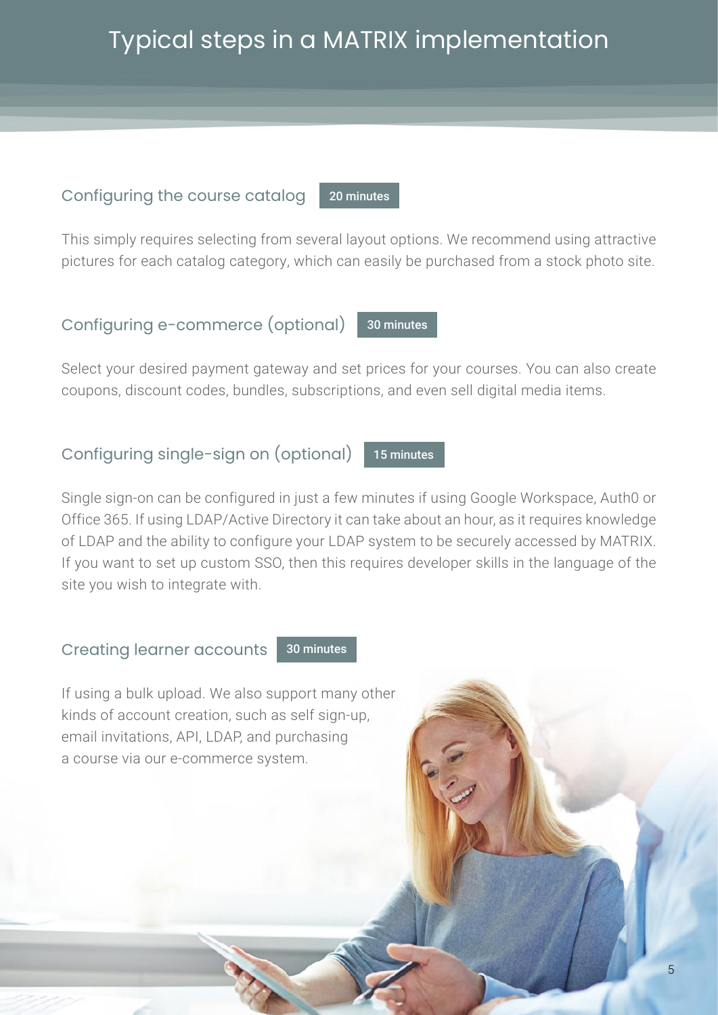# Typical steps in a MATRIX implementation

## Configuring the course catalog

This simply requires selecting from several layout options. We recommend using attractive pictures for each catalog category, which can easily be purchased from a stock photo site.

20 minutes

### Configuring e-commerce (optional) 30 minutes

Select your desired payment gateway and set prices for your courses. You can also create coupons, discount codes, bundles, subscriptions, and even sell digital media items.

#### Configuring single-sign on (optional) 15 minutes

Single sign-on can be configured in just a few minutes if using Google Workspace, Auth0 or Office 365. If using LDAP/Active Directory it can take about an hour, as it requires knowledge of LDAP and the ability to configure your LDAP system to be securely accessed by MATRIX. If you want to set up custom SSO, then this requires developer skills in the language of the site you wish to integrate with.

Creating learner accounts 30 minutes

If using a bulk upload. We also support many other kinds of account creation, such as self sign-up, email invitations, API, LDAP, and purchasing a course via our e-commerce system.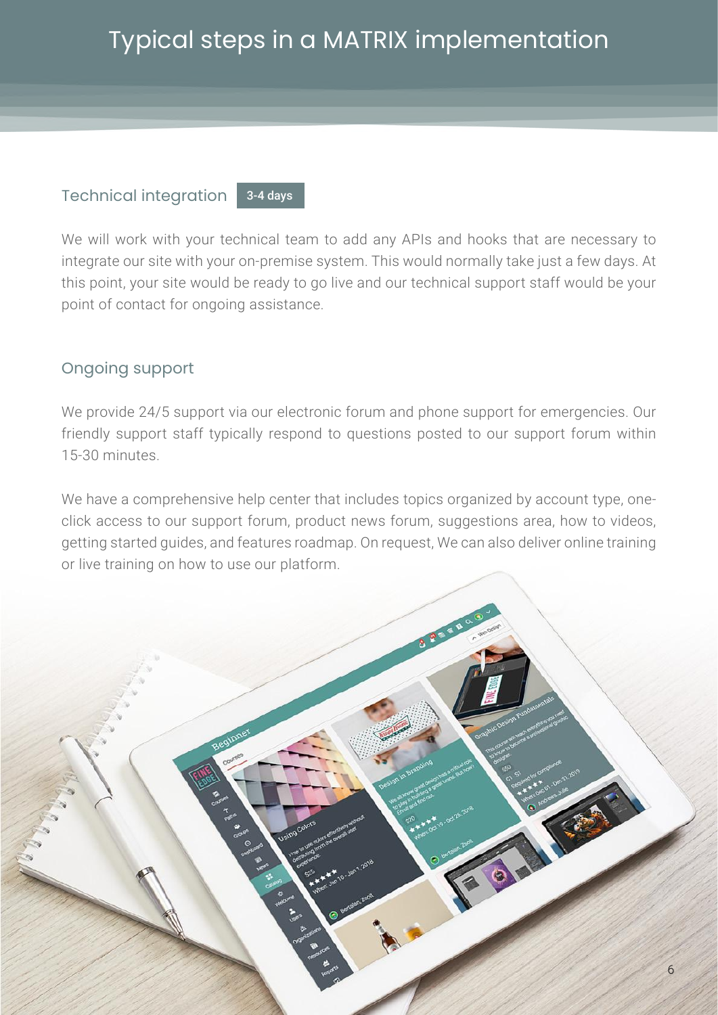## Technical integration

3-4 days

We will work with your technical team to add any APIs and hooks that are necessary to integrate our site with your on-premise system. This would normally take just a few days. At this point, your site would be ready to go live and our technical support staff would be your point of contact for ongoing assistance.

## Ongoing support

We provide 24/5 support via our electronic forum and phone support for emergencies. Our friendly support staff typically respond to questions posted to our support forum within 15-30 minutes.

We have a comprehensive help center that includes topics organized by account type, oneclick access to our support forum, product news forum, suggestions area, how to videos, getting started guides, and features roadmap. On request, We can also deliver online training or live training on how to use our platform.